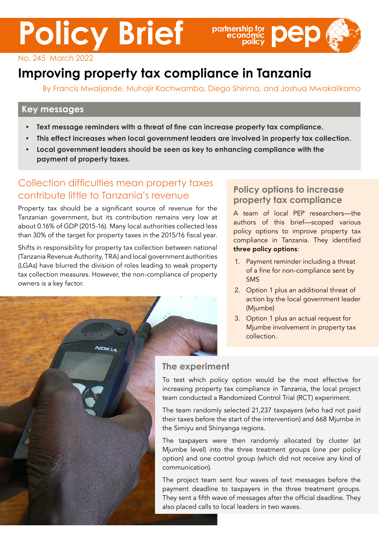# **Policy Brief**



#### No. 245 March 2022

# **Improving property tax compliance in Tanzania**

By Francis Mwaijande, Muhajir Kachwamba, Diego Shirima, and Joshua Mwakalikamo

#### **Key messages**

- **• Text message reminders with a threat of fine can increase property tax compliance.**
- **• This effect increases when local government leaders are involved in property tax collection.**
- **• Local government leaders should be seen as key to enhancing compliance with the payment of property taxes.**

### Collection difficulties mean property taxes contribute little to Tanzania's revenue

Property tax should be a significant source of revenue for the Tanzanian government, but its contribution remains very low at about 0.16% of GDP (2015-16). Many local authorities collected less than 30% of the target for property taxes in the 2015/16 fiscal year.

Shifts in responsibility for property tax collection between national (Tanzania Revenue Authority, TRA) and local government authorities (LGAs) have blurred the division of roles leading to weak property tax collection measures. However, the non-compliance of property owners is a key factor.

#### **Policy options to increase property tax compliance**

A team of local PEP researchers—the authors of this brief—scoped various policy options to improve property tax compliance in Tanzania. They identified three policy options:

- 1. Payment reminder including a threat of a fine for non-compliance sent by SMS
- 2. Option 1 plus an additional threat of action by the local government leader (Mjumbe)
- 3. Option 1 plus an actual request for Mjumbe involvement in property tax collection.



#### **The experiment**

To test which policy option would be the most effective for increasing property tax compliance in Tanzania, the local project team conducted a Randomized Control Trial (RCT) experiment.

The team randomly selected 21,237 taxpayers (who had not paid their taxes before the start of the intervention) and 668 Mjumbe in the Simiyu and Shinyanga regions.

The taxpayers were then randomly allocated by cluster (at Mjumbe level) into the three treatment groups (one per policy option) and one control group (which did not receive any kind of communication).

The project team sent four waves of text messages before the payment deadline to taxpayers in the three treatment groups. They sent a fifth wave of messages after the official deadline. They also placed calls to local leaders in two waves.